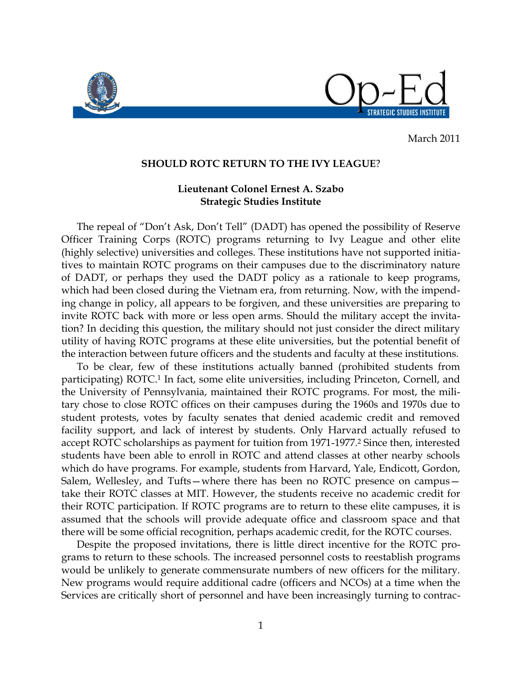

March 2011

## **SHOULD ROTC RETURN TO THE IVY LEAGUE**?

## **Lieutenant Colonel Ernest A. Szabo Strategic Studies Institute**

The repeal of "Don't Ask, Don't Tell" (DADT) has opened the possibility of Reserve Officer Training Corps (ROTC) programs returning to Ivy League and other elite (highly selective) universities and colleges. These institutions have not supported initiatives to maintain ROTC programs on their campuses due to the discriminatory nature of DADT, or perhaps they used the DADT policy as a rationale to keep programs, which had been closed during the Vietnam era, from returning. Now, with the impending change in policy, all appears to be forgiven, and these universities are preparing to invite ROTC back with more or less open arms. Should the military accept the invitation? In deciding this question, the military should not just consider the direct military utility of having ROTC programs at these elite universities, but the potential benefit of the interaction between future officers and the students and faculty at these institutions.

To be clear, few of these institutions actually banned (prohibited students from participating) ROTC. <sup>1</sup> In fact, some elite universities, including Princeton, Cornell, and the University of Pennsylvania, maintained their ROTC programs. For most, the military chose to close ROTC offices on their campuses during the 1960s and 1970s due to student protests, votes by faculty senates that denied academic credit and removed facility support, and lack of interest by students. Only Harvard actually refused to accept ROTC scholarships as payment for tuition from 1971-1977.<sup>2</sup> Since then, interested students have been able to enroll in ROTC and attend classes at other nearby schools which do have programs. For example, students from Harvard, Yale, Endicott, Gordon, Salem, Wellesley, and Tufts—where there has been no ROTC presence on campus take their ROTC classes at MIT. However, the students receive no academic credit for their ROTC participation. If ROTC programs are to return to these elite campuses, it is assumed that the schools will provide adequate office and classroom space and that there will be some official recognition, perhaps academic credit, for the ROTC courses.

Despite the proposed invitations, there is little direct incentive for the ROTC programs to return to these schools. The increased personnel costs to reestablish programs would be unlikely to generate commensurate numbers of new officers for the military. New programs would require additional cadre (officers and NCOs) at a time when the Services are critically short of personnel and have been increasingly turning to contrac-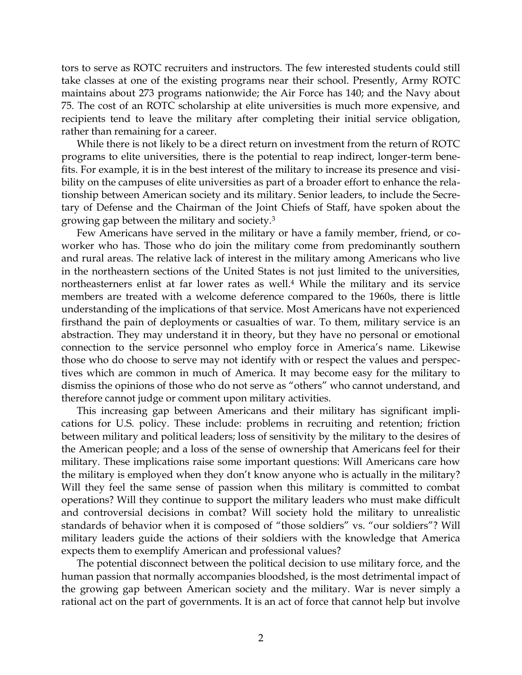tors to serve as ROTC recruiters and instructors. The few interested students could still take classes at one of the existing programs near their school. Presently, Army ROTC maintains about 273 programs nationwide; the Air Force has 140; and the Navy about 75. The cost of an ROTC scholarship at elite universities is much more expensive, and recipients tend to leave the military after completing their initial service obligation, rather than remaining for a career.

While there is not likely to be a direct return on investment from the return of ROTC programs to elite universities, there is the potential to reap indirect, longer-term benefits. For example, it is in the best interest of the military to increase its presence and visibility on the campuses of elite universities as part of a broader effort to enhance the relationship between American society and its military. Senior leaders, to include the Secretary of Defense and the Chairman of the Joint Chiefs of Staff, have spoken about the growing gap between the military and society.<sup>3</sup>

Few Americans have served in the military or have a family member, friend, or coworker who has. Those who do join the military come from predominantly southern and rural areas. The relative lack of interest in the military among Americans who live in the northeastern sections of the United States is not just limited to the universities, northeasterners enlist at far lower rates as well.<sup>4</sup> While the military and its service members are treated with a welcome deference compared to the 1960s, there is little understanding of the implications of that service. Most Americans have not experienced firsthand the pain of deployments or casualties of war. To them, military service is an abstraction. They may understand it in theory, but they have no personal or emotional connection to the service personnel who employ force in America's name. Likewise those who do choose to serve may not identify with or respect the values and perspectives which are common in much of America. It may become easy for the military to dismiss the opinions of those who do not serve as "others" who cannot understand, and therefore cannot judge or comment upon military activities.

This increasing gap between Americans and their military has significant implications for U.S. policy. These include: problems in recruiting and retention; friction between military and political leaders; loss of sensitivity by the military to the desires of the American people; and a loss of the sense of ownership that Americans feel for their military. These implications raise some important questions: Will Americans care how the military is employed when they don't know anyone who is actually in the military? Will they feel the same sense of passion when this military is committed to combat operations? Will they continue to support the military leaders who must make difficult and controversial decisions in combat? Will society hold the military to unrealistic standards of behavior when it is composed of "those soldiers" vs. "our soldiers"? Will military leaders guide the actions of their soldiers with the knowledge that America expects them to exemplify American and professional values?

The potential disconnect between the political decision to use military force, and the human passion that normally accompanies bloodshed, is the most detrimental impact of the growing gap between American society and the military. War is never simply a rational act on the part of governments. It is an act of force that cannot help but involve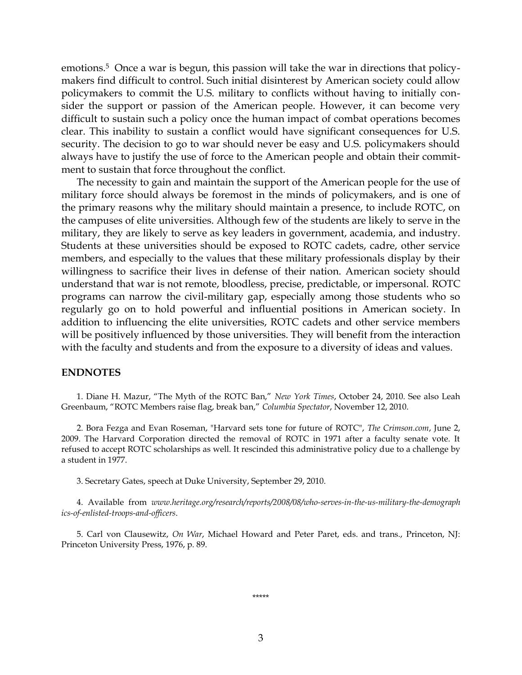emotions. <sup>5</sup> Once a war is begun, this passion will take the war in directions that policymakers find difficult to control. Such initial disinterest by American society could allow policymakers to commit the U.S. military to conflicts without having to initially consider the support or passion of the American people. However, it can become very difficult to sustain such a policy once the human impact of combat operations becomes clear. This inability to sustain a conflict would have significant consequences for U.S. security. The decision to go to war should never be easy and U.S. policymakers should always have to justify the use of force to the American people and obtain their commitment to sustain that force throughout the conflict.

The necessity to gain and maintain the support of the American people for the use of military force should always be foremost in the minds of policymakers, and is one of the primary reasons why the military should maintain a presence, to include ROTC, on the campuses of elite universities. Although few of the students are likely to serve in the military, they are likely to serve as key leaders in government, academia, and industry. Students at these universities should be exposed to ROTC cadets, cadre, other service members, and especially to the values that these military professionals display by their willingness to sacrifice their lives in defense of their nation. American society should understand that war is not remote, bloodless, precise, predictable, or impersonal. ROTC programs can narrow the civil-military gap, especially among those students who so regularly go on to hold powerful and influential positions in American society. In addition to influencing the elite universities, ROTC cadets and other service members will be positively influenced by those universities. They will benefit from the interaction with the faculty and students and from the exposure to a diversity of ideas and values.

## **ENDNOTES**

1. Diane H. Mazur, "The Myth of the ROTC Ban," *New York Times*, October 24, 2010. See also Leah Greenbaum, "ROTC Members raise flag, break ban," *Columbia Spectator*, November 12, 2010.

2. Bora Fezga and Evan Roseman, "Harvard sets tone for future of ROTC", *The Crimson.com*, June 2, 2009. The Harvard Corporation directed the removal of ROTC in 1971 after a faculty senate vote. It refused to accept ROTC scholarships as well. It rescinded this administrative policy due to a challenge by a student in 1977.

3. Secretary Gates, speech at Duke University, September 29, 2010.

4. Available from *www.heritage.org/research/reports/2008/08/who-serves-in-the-us-military-the-demograph ics-of-enlisted-troops-and-officers*.

5. Carl von Clausewitz, *On War*, Michael Howard and Peter Paret, eds. and trans., Princeton, NJ: Princeton University Press, 1976, p. 89.

\*\*\*\*\*